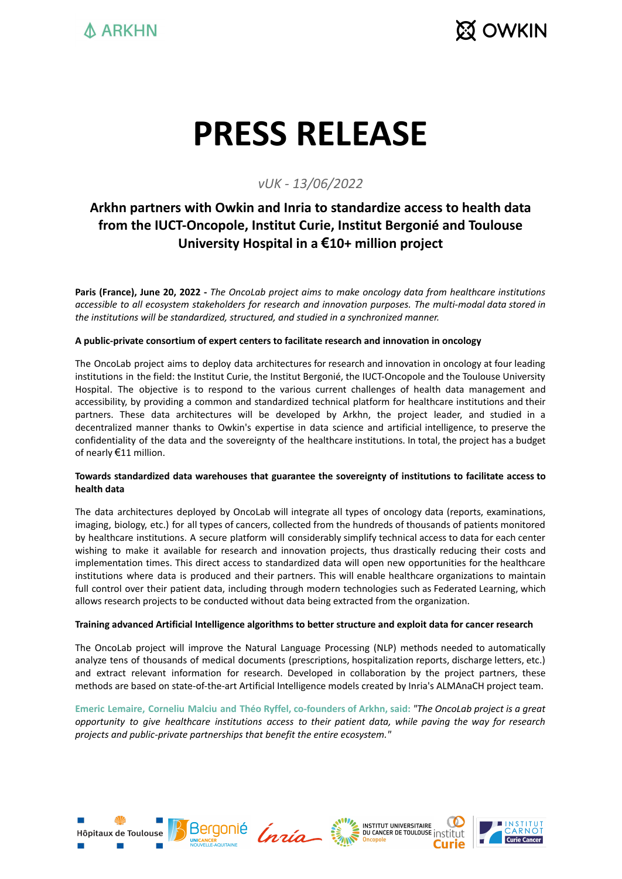

# **PRESS RELEASE**

### *vUK - 13/06/2022*

## **Arkhn partners with Owkin and Inria to standardize access to health data from the IUCT-Oncopole, Institut Curie, Institut Bergonié and Toulouse University Hospital in a €10+ million project**

Paris (France), June 20, 2022 - The OncoLab project aims to make oncology data from healthcare institutions *accessible to all ecosystem stakeholders for research and innovation purposes. The multi-modal data stored in the institutions will be standardized, structured, and studied in a synchronized manner.*

#### **A public-private consortium of expert centers to facilitate research and innovation in oncology**

The OncoLab project aims to deploy data architectures for research and innovation in oncology at four leading institutions in the field: the Institut Curie, the Institut Bergonié, the IUCT-Oncopole and the Toulouse University Hospital. The objective is to respond to the various current challenges of health data management and accessibility, by providing a common and standardized technical platform for healthcare institutions and their partners. These data architectures will be developed by Arkhn, the project leader, and studied in a decentralized manner thanks to Owkin's expertise in data science and artificial intelligence, to preserve the confidentiality of the data and the sovereignty of the healthcare institutions. In total, the project has a budget of nearly €11 million.

#### **Towards standardized data warehouses that guarantee the sovereignty of institutions to facilitate access to health data**

The data architectures deployed by OncoLab will integrate all types of oncology data (reports, examinations, imaging, biology, etc.) for all types of cancers, collected from the hundreds of thousands of patients monitored by healthcare institutions. A secure platform will considerably simplify technical access to data for each center wishing to make it available for research and innovation projects, thus drastically reducing their costs and implementation times. This direct access to standardized data will open new opportunities for the healthcare institutions where data is produced and their partners. This will enable healthcare organizations to maintain full control over their patient data, including through modern technologies such as Federated Learning, which allows research projects to be conducted without data being extracted from the organization.

#### **Training advanced Artificial Intelligence algorithms to better structure and exploit data for cancer research**

The OncoLab project will improve the Natural Language Processing (NLP) methods needed to automatically analyze tens of thousands of medical documents (prescriptions, hospitalization reports, discharge letters, etc.) and extract relevant information for research. Developed in collaboration by the project partners, these methods are based on state-of-the-art Artificial Intelligence models created by Inria's ALMAnaCH project team.

Emeric Lemaire, Corneliu Malciu and Théo Ryffel, co-founders of Arkhn, said: "The OncoLab project is a great *opportunity to give healthcare institutions access to their patient data, while paving the way for research projects and public-private partnerships that benefit the entire ecosystem."*







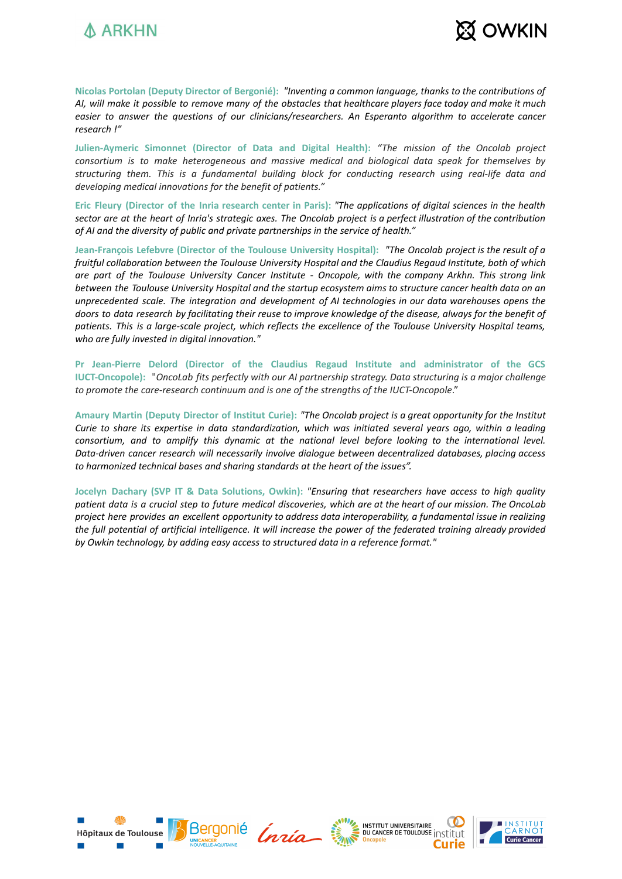



**Nicolas Portolan (Deputy Director of Bergonié):** *"Inventing a common language, thanks to the contributions of* AI, will make it possible to remove many of the obstacles that healthcare players face today and make it much *easier to answer the questions of our clinicians/researchers. An Esperanto algorithm to accelerate cancer research !"*

**Julien-Aymeric Simonnet (Director of Data and Digital Health):** *"The mission of the Oncolab project consortium is to make heterogeneous and massive medical and biological data speak for themselves by structuring them. This is a fundamental building block for conducting research using real-life data and developing medical innovations for the benefit of patients."*

Eric Fleury (Director of the Inria research center in Paris): "The applications of digital sciences in the health sector are at the heart of Inria's strategic axes. The Oncolab project is a perfect illustration of the contribution *of AI and the diversity of public and private partnerships in the service of health."*

**Jean-François Lefebvre (Director of the Toulouse University Hospital):** *"The Oncolab project is the result of a fruitful collaboration between the Toulouse University Hospital and the Claudius Regaud Institute, both of which are part of the Toulouse University Cancer Institute - Oncopole, with the company Arkhn. This strong link* between the Toulouse University Hospital and the startup ecosystem aims to structure cancer health data on an *unprecedented scale. The integration and development of AI technologies in our data warehouses opens the* doors to data research by facilitating their reuse to improve knowledge of the disease, always for the benefit of patients. This is a large-scale project, which reflects the excellence of the Toulouse University Hospital teams, *who are fully invested in digital innovation."*

**Pr Jean-Pierre Delord (Director of the Claudius Regaud Institute and administrator of the GCS IUCT-Oncopole):** "*OncoLab fits perfectly with our AI partnership strategy. Data structuring is a major challenge to promote the care-research continuum and is one of the strengths of the IUCT-Oncopole*."

Amaury Martin (Deputy Director of Institut Curie): "The Oncolab project is a great opportunity for the Institut Curie to share its expertise in data standardization, which was initiated several years ago, within a leading *consortium, and to amplify this dynamic at the national level before looking to the international level. Data-driven cancer research will necessarily involve dialogue between decentralized databases, placing access to harmonized technical bases and sharing standards at the heart of the issues".*

**Jocelyn Dachary (SVP IT & Data Solutions, Owkin):** *"Ensuring that researchers have access to high quality* patient data is a crucial step to future medical discoveries, which are at the heart of our mission. The OncoLab *project here provides an excellent opportunity to address data interoperability, a fundamental issue in realizing* the full potential of artificial intelligence. It will increase the power of the federated training already provided *by Owkin technology, by adding easy access to structured data in a reference format."*







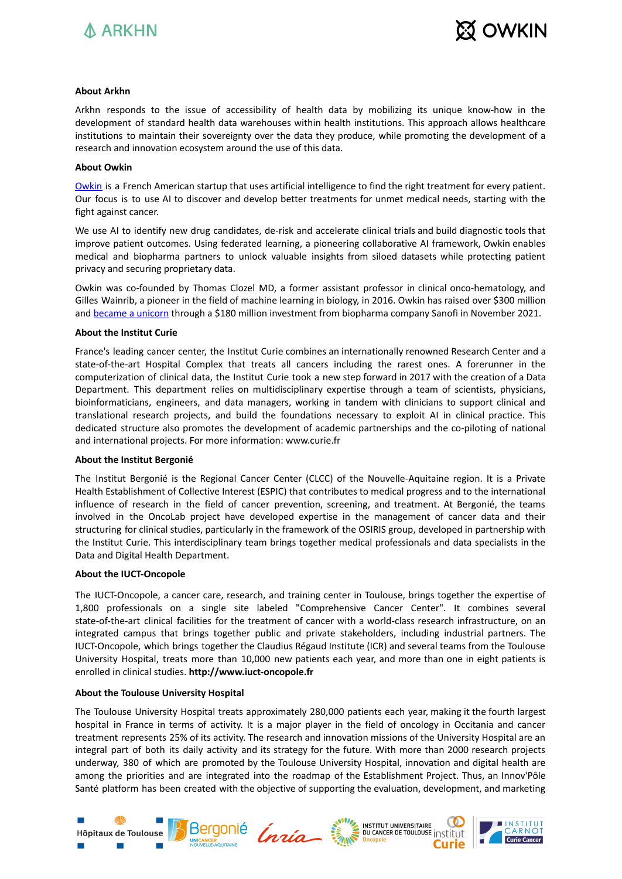



#### **About Arkhn**

Arkhn responds to the issue of accessibility of health data by mobilizing its unique know-how in the development of standard health data warehouses within health institutions. This approach allows healthcare institutions to maintain their sovereignty over the data they produce, while promoting the development of a research and innovation ecosystem around the use of this data.

#### **About Owkin**

[Owkin](https://owkin.com/) is a French American startup that uses artificial intelligence to find the right treatment for every patient. Our focus is to use AI to discover and develop better treatments for unmet medical needs, starting with the fight against cancer.

We use AI to identify new drug candidates, de-risk and accelerate clinical trials and build diagnostic tools that improve patient outcomes. Using federated learning, a pioneering collaborative AI framework, Owkin enables medical and biopharma partners to unlock valuable insights from siloed datasets while protecting patient privacy and securing proprietary data.

Owkin was co-founded by Thomas Clozel MD, a former assistant professor in clinical onco-hematology, and Gilles Wainrib, a pioneer in the field of machine learning in biology, in 2016. Owkin has raised over \$300 million and [became](https://owkin.com/publications-and-news/press-releases/owkin-becomes-unicorn-with-180m-investment-from-sanofi-and-four-new-collaborative-projects) a unicorn through a \$180 million investment from biopharma company Sanofi in November 2021.

#### **About the Institut Curie**

France's leading cancer center, the Institut Curie combines an internationally renowned Research Center and a state-of-the-art Hospital Complex that treats all cancers including the rarest ones. A forerunner in the computerization of clinical data, the Institut Curie took a new step forward in 2017 with the creation of a Data Department. This department relies on multidisciplinary expertise through a team of scientists, physicians, bioinformaticians, engineers, and data managers, working in tandem with clinicians to support clinical and translational research projects, and build the foundations necessary to exploit AI in clinical practice. This dedicated structure also promotes the development of academic partnerships and the co-piloting of national and international projects. For more information: www.curie.fr

#### **About the Institut Bergonié**

The Institut Bergonié is the Regional Cancer Center (CLCC) of the Nouvelle-Aquitaine region. It is a Private Health Establishment of Collective Interest (ESPIC) that contributes to medical progress and to the international influence of research in the field of cancer prevention, screening, and treatment. At Bergonié, the teams involved in the OncoLab project have developed expertise in the management of cancer data and their structuring for clinical studies, particularly in the framework of the OSIRIS group, developed in partnership with the Institut Curie. This interdisciplinary team brings together medical professionals and data specialists in the Data and Digital Health Department.

#### **About the IUCT-Oncopole**

The IUCT-Oncopole, a cancer care, research, and training center in Toulouse, brings together the expertise of 1,800 professionals on a single site labeled "Comprehensive Cancer Center". It combines several state-of-the-art clinical facilities for the treatment of cancer with a world-class research infrastructure, on an integrated campus that brings together public and private stakeholders, including industrial partners. The IUCT-Oncopole, which brings together the Claudius Régaud Institute (ICR) and several teams from the Toulouse University Hospital, treats more than 10,000 new patients each year, and more than one in eight patients is enrolled in clinical studies. **http://www.iuct-oncopole.fr**

#### **About the Toulouse University Hospital**

The Toulouse University Hospital treats approximately 280,000 patients each year, making it the fourth largest hospital in France in terms of activity. It is a major player in the field of oncology in Occitania and cancer treatment represents 25% of its activity. The research and innovation missions of the University Hospital are an integral part of both its daily activity and its strategy for the future. With more than 2000 research projects underway, 380 of which are promoted by the Toulouse University Hospital, innovation and digital health are among the priorities and are integrated into the roadmap of the Establishment Project. Thus, an Innov'Pôle Santé platform has been created with the objective of supporting the evaluation, development, and marketing





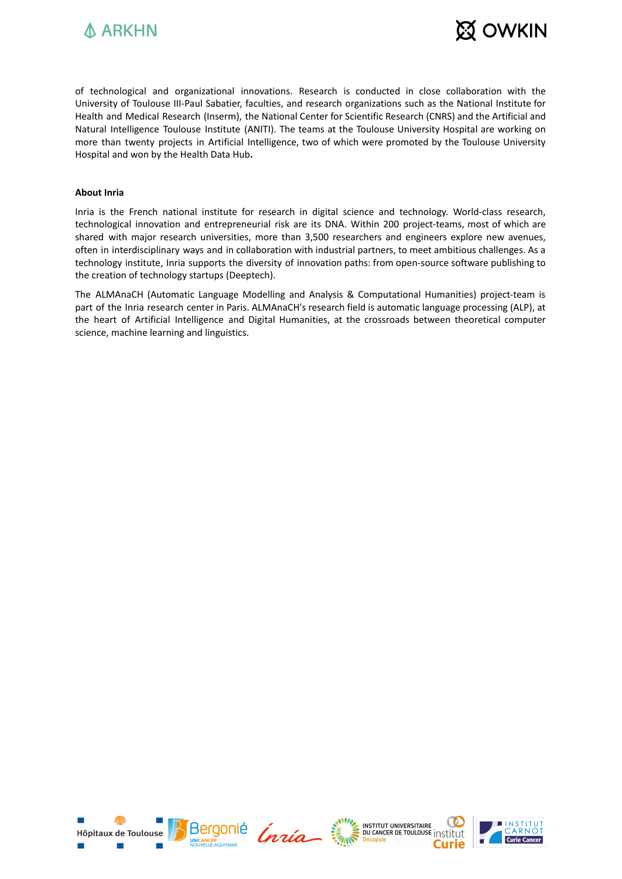



of technological and organizational innovations. Research is conducted in close collaboration with the University of Toulouse III-Paul Sabatier, faculties, and research organizations such as the National Institute for Health and Medical Research (Inserm), the National Center for Scientific Research (CNRS) and the Artificial and Natural Intelligence Toulouse Institute (ANITI). The teams at the Toulouse University Hospital are working on more than twenty projects in Artificial Intelligence, two of which were promoted by the Toulouse University Hospital and won by the Health Data Hub**.**

#### **About Inria**

Inria is the French national institute for research in digital science and technology. World-class research, technological innovation and entrepreneurial risk are its DNA. Within 200 project-teams, most of which are shared with major research universities, more than 3,500 researchers and engineers explore new avenues, often in interdisciplinary ways and in collaboration with industrial partners, to meet ambitious challenges. As a technology institute, Inria supports the diversity of innovation paths: from open-source software publishing to the creation of technology startups (Deeptech).

The ALMAnaCH (Automatic Language Modelling and Analysis & Computational Humanities) project-team is part of the Inria research center in Paris. ALMAnaCH's research field is automatic language processing (ALP), at the heart of Artificial Intelligence and Digital Humanities, at the crossroads between theoretical computer science, machine learning and linguistics.